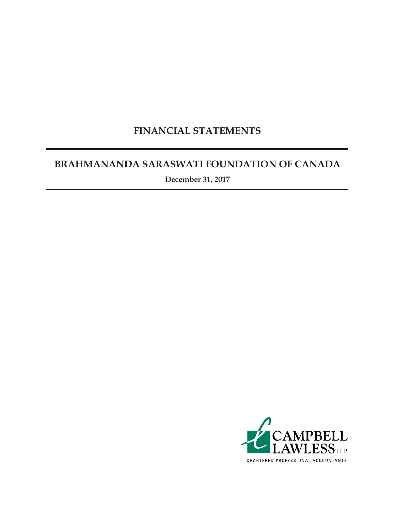## **FINANCIAL STATEMENTS**

## **BRAHMANANDA SARASWATI FOUNDATION OF CANADA**

**December 31, 2017**

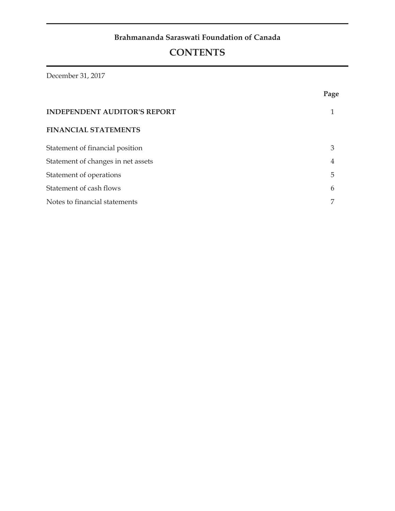## **Brahmananda Saraswati Foundation of Canada**

## **CONTENTS**

December 31, 2017

|                                     | Page |
|-------------------------------------|------|
| <b>INDEPENDENT AUDITOR'S REPORT</b> |      |
| <b>FINANCIAL STATEMENTS</b>         |      |
| Statement of financial position     | 3    |
| Statement of changes in net assets  | 4    |
| Statement of operations             | 5    |
| Statement of cash flows             | 6    |
| Notes to financial statements       |      |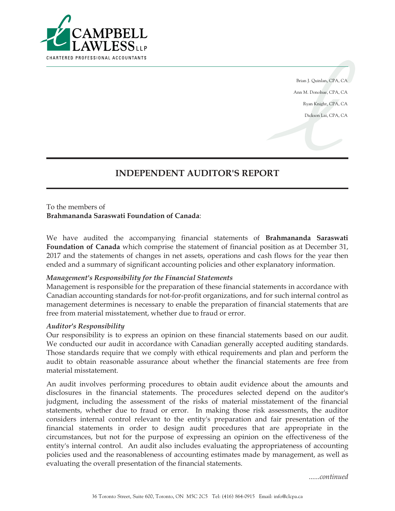

Brian J. Quinlan, CPA, CA Ann M. Donohue, CPA, CA Ryan Knight, CPA, CA Dickson Lai, CPA, CA

## **INDEPENDENT AUDITOR'S REPORT**

### To the members of **Brahmananda Saraswati Foundation of Canada**:

We have audited the accompanying financial statements of **Brahmananda Saraswati Foundation of Canada** which comprise the statement of financial position as at December 31, 2017 and the statements of changes in net assets, operations and cash flows for the year then ended and a summary of significant accounting policies and other explanatory information.

### *Management's Responsibility for the Financial Statements*

Management is responsible for the preparation of these financial statements in accordance with Canadian accounting standards for not-for-profit organizations, and for such internal control as management determines is necessary to enable the preparation of financial statements that are free from material misstatement, whether due to fraud or error.

### *Auditor's Responsibility*

Our responsibility is to express an opinion on these financial statements based on our audit. We conducted our audit in accordance with Canadian generally accepted auditing standards. Those standards require that we comply with ethical requirements and plan and perform the audit to obtain reasonable assurance about whether the financial statements are free from material misstatement.

An audit involves performing procedures to obtain audit evidence about the amounts and disclosures in the financial statements. The procedures selected depend on the auditor's judgment, including the assessment of the risks of material misstatement of the financial statements, whether due to fraud or error. In making those risk assessments, the auditor considers internal control relevant to the entity's preparation and fair presentation of the financial statements in order to design audit procedures that are appropriate in the circumstances, but not for the purpose of expressing an opinion on the effectiveness of the entity's internal control. An audit also includes evaluating the appropriateness of accounting policies used and the reasonableness of accounting estimates made by management, as well as evaluating the overall presentation of the financial statements.

*......continued*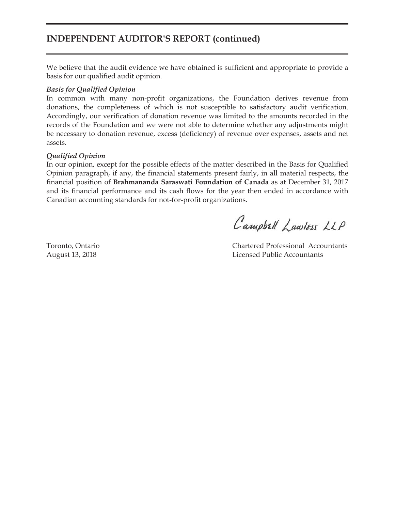### **INDEPENDENT AUDITOR'S REPORT (continued)**

We believe that the audit evidence we have obtained is sufficient and appropriate to provide a basis for our qualified audit opinion.

### *Basis for Qualified Opinion*

In common with many non-profit organizations, the Foundation derives revenue from donations, the completeness of which is not susceptible to satisfactory audit verification. Accordingly, our verification of donation revenue was limited to the amounts recorded in the records of the Foundation and we were not able to determine whether any adjustments might be necessary to donation revenue, excess (deficiency) of revenue over expenses, assets and net assets.

### *Qualified Opinion*

In our opinion, except for the possible effects of the matter described in the Basis for Qualified Opinion paragraph, if any, the financial statements present fairly, in all material respects, the financial position of **Brahmananda Saraswati Foundation of Canada** as at December 31, 2017 and its financial performance and its cash flows for the year then ended in accordance with Canadian accounting standards for not-for-profit organizations.

Campbell Lawless LLP

Toronto, Ontario Chartered Professional Accountants August 13, 2018 Licensed Public Accountants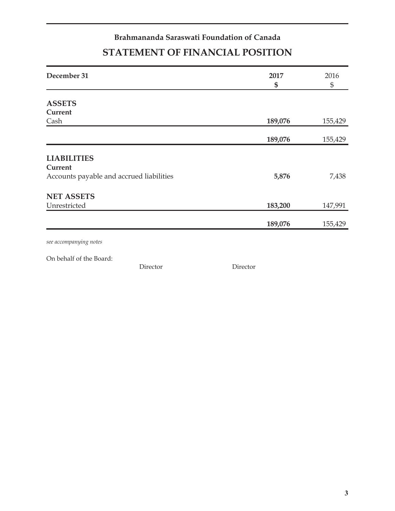## **Brahmananda Saraswati Foundation of Canada STATEMENT OF FINANCIAL POSITION**

| December 31                              | 2017<br>\$ | 2016<br>$\frac{6}{5}$ |
|------------------------------------------|------------|-----------------------|
|                                          |            |                       |
| <b>ASSETS</b>                            |            |                       |
| Current                                  |            |                       |
| Cash                                     | 189,076    | 155,429               |
|                                          | 189,076    | 155,429               |
|                                          |            |                       |
| <b>LIABILITIES</b>                       |            |                       |
| Current                                  |            |                       |
| Accounts payable and accrued liabilities | 5,876      | 7,438                 |
| <b>NET ASSETS</b>                        |            |                       |
| Unrestricted                             | 183,200    | 147,991               |
|                                          |            |                       |
|                                          | 189,076    | 155,429               |
| see accompanying notes                   |            |                       |

On behalf of the Board:

Director Director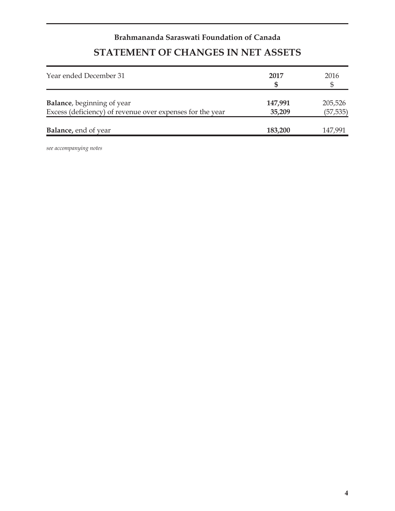# **Brahmananda Saraswati Foundation of Canada STATEMENT OF CHANGES IN NET ASSETS**

| Year ended December 31                                                                          | 2017              | 2016<br>S            |
|-------------------------------------------------------------------------------------------------|-------------------|----------------------|
| <b>Balance</b> , beginning of year<br>Excess (deficiency) of revenue over expenses for the year | 147,991<br>35,209 | 205,526<br>(57, 535) |
| <b>Balance</b> , end of year                                                                    | 183,200           | 147,991              |

*see accompanying notes*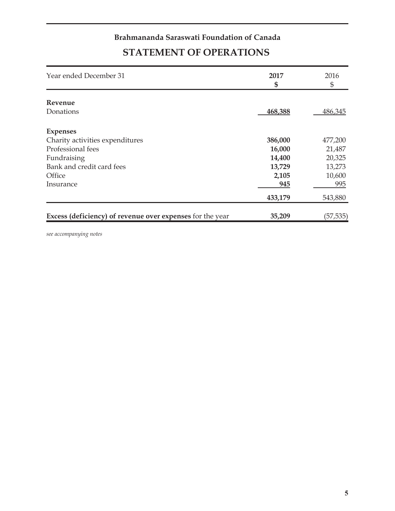## **Brahmananda Saraswati Foundation of Canada STATEMENT OF OPERATIONS**

| Year ended December 31                                    | 2017<br>\$ | 2016<br>\$ |
|-----------------------------------------------------------|------------|------------|
| Revenue                                                   |            |            |
| Donations                                                 | 468,388    | 486,345    |
| <b>Expenses</b>                                           |            |            |
| Charity activities expenditures                           | 386,000    | 477,200    |
| Professional fees                                         | 16,000     | 21,487     |
| Fundraising                                               | 14,400     | 20,325     |
| Bank and credit card fees                                 | 13,729     | 13,273     |
| Office                                                    | 2,105      | 10,600     |
| Insurance                                                 | 945        | 995        |
|                                                           | 433,179    | 543,880    |
| Excess (deficiency) of revenue over expenses for the year | 35,209     | (57, 535)  |

*see accompanying notes*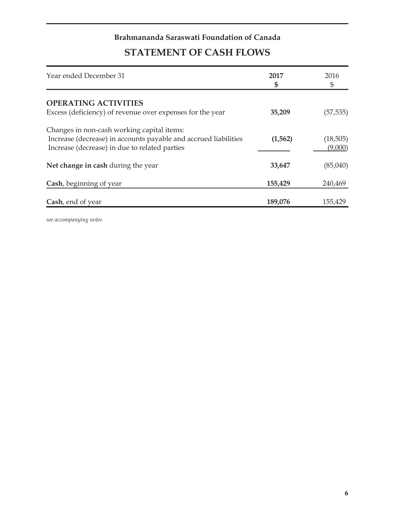# **Brahmananda Saraswati Foundation of Canada**

# **STATEMENT OF CASH FLOWS**

| Year ended December 31                                                                                                                                         | 2017<br>\$ | 2016<br>\$           |
|----------------------------------------------------------------------------------------------------------------------------------------------------------------|------------|----------------------|
| <b>OPERATING ACTIVITIES</b>                                                                                                                                    |            |                      |
| Excess (deficiency) of revenue over expenses for the year                                                                                                      | 35,209     | (57, 535)            |
| Changes in non-cash working capital items:<br>Increase (decrease) in accounts payable and accrued liabilities<br>Increase (decrease) in due to related parties | (1, 562)   | (18, 505)<br>(9,000) |
| Net change in cash during the year                                                                                                                             | 33,647     | (85,040)             |
| Cash, beginning of year                                                                                                                                        | 155,429    | 240,469              |
| Cash, end of year                                                                                                                                              | 189,076    | 155,429              |

*see accompanying notes*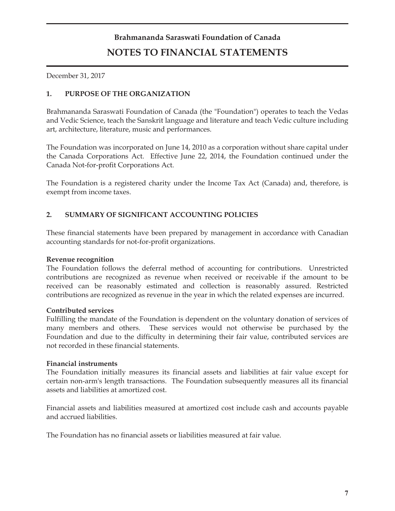# **Brahmananda Saraswati Foundation of Canada NOTES TO FINANCIAL STATEMENTS**

December 31, 2017

### **1. PURPOSE OF THE ORGANIZATION**

Brahmananda Saraswati Foundation of Canada (the "Foundation") operates to teach the Vedas and Vedic Science, teach the Sanskrit language and literature and teach Vedic culture including art, architecture, literature, music and performances.

The Foundation was incorporated on June 14, 2010 as a corporation without share capital under the Canada Corporations Act. Effective June 22, 2014, the Foundation continued under the Canada Not-for-profit Corporations Act.

The Foundation is a registered charity under the Income Tax Act (Canada) and, therefore, is exempt from income taxes.

### **2. SUMMARY OF SIGNIFICANT ACCOUNTING POLICIES**

These financial statements have been prepared by management in accordance with Canadian accounting standards for not-for-profit organizations.

### **Revenue recognition**

The Foundation follows the deferral method of accounting for contributions. Unrestricted contributions are recognized as revenue when received or receivable if the amount to be received can be reasonably estimated and collection is reasonably assured. Restricted contributions are recognized as revenue in the year in which the related expenses are incurred.

### **Contributed services**

Fulfilling the mandate of the Foundation is dependent on the voluntary donation of services of many members and others. These services would not otherwise be purchased by the Foundation and due to the difficulty in determining their fair value, contributed services are not recorded in these financial statements.

### **Financial instruments**

The Foundation initially measures its financial assets and liabilities at fair value except for certain non-arm's length transactions. The Foundation subsequently measures all its financial assets and liabilities at amortized cost.

Financial assets and liabilities measured at amortized cost include cash and accounts payable and accrued liabilities.

The Foundation has no financial assets or liabilities measured at fair value.